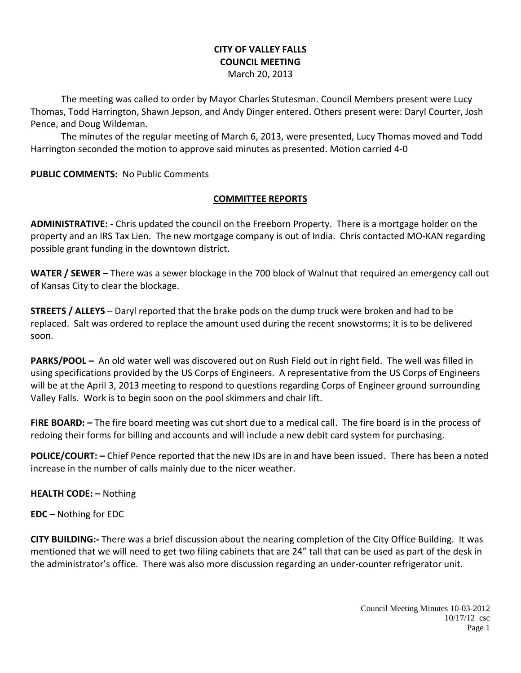# **CITY OF VALLEY FALLS COUNCIL MEETING**

March 20, 2013

The meeting was called to order by Mayor Charles Stutesman. Council Members present were Lucy Thomas, Todd Harrington, Shawn Jepson, and Andy Dinger entered. Others present were: Daryl Courter, Josh Pence, and Doug Wildeman.

The minutes of the regular meeting of March 6, 2013, were presented, Lucy Thomas moved and Todd Harrington seconded the motion to approve said minutes as presented. Motion carried 4-0

**PUBLIC COMMENTS:** No Public Comments

### **COMMITTEE REPORTS**

**ADMINISTRATIVE: -** Chris updated the council on the Freeborn Property. There is a mortgage holder on the property and an IRS Tax Lien. The new mortgage company is out of India. Chris contacted MO-KAN regarding possible grant funding in the downtown district.

**WATER / SEWER –** There was a sewer blockage in the 700 block of Walnut that required an emergency call out of Kansas City to clear the blockage.

**STREETS / ALLEYS** – Daryl reported that the brake pods on the dump truck were broken and had to be replaced. Salt was ordered to replace the amount used during the recent snowstorms; it is to be delivered soon.

**PARKS/POOL –** An old water well was discovered out on Rush Field out in right field. The well was filled in using specifications provided by the US Corps of Engineers. A representative from the US Corps of Engineers will be at the April 3, 2013 meeting to respond to questions regarding Corps of Engineer ground surrounding Valley Falls. Work is to begin soon on the pool skimmers and chair lift.

**FIRE BOARD:** – The fire board meeting was cut short due to a medical call. The fire board is in the process of redoing their forms for billing and accounts and will include a new debit card system for purchasing.

**POLICE/COURT: –** Chief Pence reported that the new IDs are in and have been issued. There has been a noted increase in the number of calls mainly due to the nicer weather.

**HEALTH CODE: –** Nothing

**EDC –** Nothing for EDC

**CITY BUILDING:-** There was a brief discussion about the nearing completion of the City Office Building. It was mentioned that we will need to get two filing cabinets that are 24" tall that can be used as part of the desk in the administrator's office. There was also more discussion regarding an under-counter refrigerator unit.